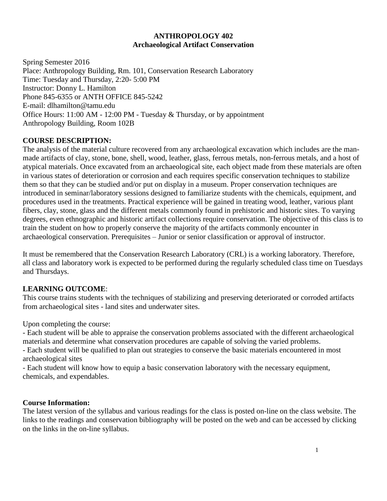### **ANTHROPOLOGY 402 Archaeological Artifact Conservation**

Spring Semester 2016 Place: Anthropology Building, Rm. 101, Conservation Research Laboratory Time: Tuesday and Thursday, 2:20- 5:00 PM Instructor: Donny L. Hamilton Phone 845-6355 or ANTH OFFICE 845-5242 E-mail: dlhamilton@tamu.edu Office Hours: 11:00 AM - 12:00 PM - Tuesday & Thursday, or by appointment Anthropology Building, Room 102B

# **COURSE DESCRIPTION:**

The analysis of the material culture recovered from any archaeological excavation which includes are the manmade artifacts of clay, stone, bone, shell, wood, leather, glass, ferrous metals, non-ferrous metals, and a host of atypical materials. Once excavated from an archaeological site, each object made from these materials are often in various states of deterioration or corrosion and each requires specific conservation techniques to stabilize them so that they can be studied and/or put on display in a museum. Proper conservation techniques are introduced in seminar/laboratory sessions designed to familiarize students with the chemicals, equipment, and procedures used in the treatments. Practical experience will be gained in treating wood, leather, various plant fibers, clay, stone, glass and the different metals commonly found in prehistoric and historic sites. To varying degrees, even ethnographic and historic artifact collections require conservation. The objective of this class is to train the student on how to properly conserve the majority of the artifacts commonly encounter in archaeological conservation. Prerequisites – Junior or senior classification or approval of instructor.

It must be remembered that the Conservation Research Laboratory (CRL) is a working laboratory. Therefore, all class and laboratory work is expected to be performed during the regularly scheduled class time on Tuesdays and Thursdays.

# **LEARNING OUTCOME**:

This course trains students with the techniques of stabilizing and preserving deteriorated or corroded artifacts from archaeological sites - land sites and underwater sites.

Upon completing the course:

- Each student will be able to appraise the conservation problems associated with the different archaeological materials and determine what conservation procedures are capable of solving the varied problems.

- Each student will be qualified to plan out strategies to conserve the basic materials encountered in most archaeological sites

- Each student will know how to equip a basic conservation laboratory with the necessary equipment, chemicals, and expendables.

#### **Course Information:**

The latest version of the syllabus and various readings for the class is posted on-line on the class website. The links to the readings and conservation bibliography will be posted on the web and can be accessed by clicking on the links in the on-line syllabus.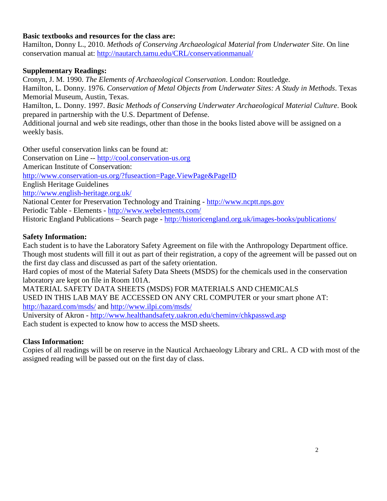## **Basic textbooks and resources for the class are:**

Hamilton, Donny L., 2010. *Methods of Conserving Archaeological Material from Underwater Site*. On line conservation manual at:<http://nautarch.tamu.edu/CRL/conservationmanual/>

### **Supplementary Readings:**

Cronyn, J. M. 1990. *The Elements of Archaeological Conservation*. London: Routledge. Hamilton, L. Donny. 1976. *Conservation of Metal Objects from Underwater Sites: A Study in Methods*. Texas Memorial Museum, Austin, Texas. Hamilton, L. Donny. 1997. *Basic Methods of Conserving Underwater Archaeological Material Culture*. Book prepared in partnership with the U.S. Department of Defense. Additional journal and web site readings, other than those in the books listed above will be assigned on a weekly basis.

Other useful conservation links can be found at:

Conservation on Line -- [http://cool.conservation-us.org](http://cool.conservation-us.org/) American Institute of Conservation: <http://www.conservation-us.org/?fuseaction=Page.ViewPage&PageID> English Heritage Guidelines <http://www.english-heritage.org.uk/> National Center for Preservation Technology and Training - [http://www.ncptt.nps.gov](http://www.ncptt.nps.gov/) Periodic Table - Elements - <http://www.webelements.com/> Historic England Publications – Search page - <http://historicengland.org.uk/images-books/publications/>

### **Safety Information:**

Each student is to have the Laboratory Safety Agreement on file with the Anthropology Department office. Though most students will fill it out as part of their registration, a copy of the agreement will be passed out on the first day class and discussed as part of the safety orientation.

Hard copies of most of the Material Safety Data Sheets (MSDS) for the chemicals used in the conservation laboratory are kept on file in Room 101A.

MATERIAL SAFETY DATA SHEETS (MSDS) FOR MATERIALS AND CHEMICALS USED IN THIS LAB MAY BE ACCESSED ON ANY CRL COMPUTER or your smart phone AT: <http://hazard.com/msds/> and<http://www.ilpi.com/msds/>

University of Akron - <http://www.healthandsafety.uakron.edu/cheminv/chkpasswd.asp> Each student is expected to know how to access the MSD sheets.

# **Class Information:**

Copies of all readings will be on reserve in the Nautical Archaeology Library and CRL. A CD with most of the assigned reading will be passed out on the first day of class.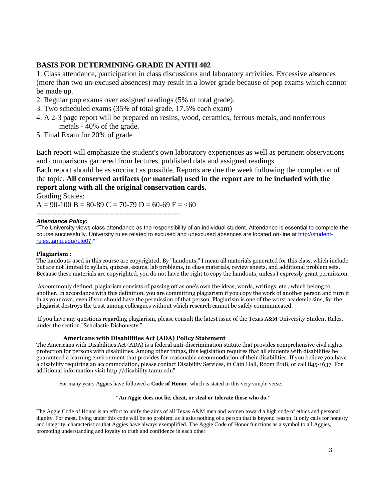#### **BASIS FOR DETERMINING GRADE IN ANTH 402**

1. Class attendance, participation in class discussions and laboratory activities. Excessive absences (more than two un-excused absences) may result in a lower grade because of pop exams which cannot be made up.

- 2. Regular pop exams over assigned readings (5% of total grade).
- 3. Two scheduled exams (35% of total grade, 17.5% each exam)
- 4. A 2-3 page report will be prepared on resins, wood, ceramics, ferrous metals, and nonferrous metals - 40% of the grade.
- 5. Final Exam for 20% of grade

Each report will emphasize the student's own laboratory experiences as well as pertinent observations and comparisons garnered from lectures, published data and assigned readings.

Each report should be as succinct as possible. Reports are due the week following the completion of the topic. **All conserved artifacts (or material) used in the report are to be included with the report along with all the original conservation cards.**

Grading Scales:

 $A = 90-100 B = 80-89 C = 70-79 D = 60-69 F = 60$ 

---------------------------------------------------------

#### *Attendance Policy:*

"The University views class attendance as the responsibility of an individual student. Attendance is essential to complete the course successfully. University rules related to excused and unexcused absences are located on-line at [http://student](http://student-rules.tamu.edu/rule07/hich/af39/dbch/af31505/loch/f39)[rules.tamu.edu/rule07](http://student-rules.tamu.edu/rule07/hich/af39/dbch/af31505/loch/f39)."

#### **Plagiarism** :

The handouts used in this course are copyrighted. By "handouts," I mean all materials generated for this class, which include but are not limited to syllabi, quizzes, exams, lab problems, in class materials, review sheets, and additional problem sets. Because these materials are copyrighted, you do not have the right to copy the handouts, unless I expressly grant permission.

As commonly defined, plagiarism consists of passing off as one's own the ideas, words, writings, etc., which belong to another. In accordance with this definition, you are committing plagiarism if you copy the work of another person and turn it in as your own, even if you should have the permission of that person. Plagiarism is one of the worst academic sins, for the plagiarist destroys the trust among colleagues without which research cannot be safely communicated.

If you have any questions regarding plagiarism, please consult the latest issue of the Texas A&M University Student Rules, under the section "Scholastic Dishonesty."

#### **Americans with Disabilities Act (ADA) Policy Statement**

The Americans with Disabilities Act (ADA) is a federal anti-discrimination statute that provides comprehensive civil rights protection for persons with disabilities. Among other things, this legislation requires that all students with disabilities be guaranteed a learning environment that provides for reasonable accommodation of their disabilities. If you believe you have a disability requiring an accommodation, please contact Disability Services, in Cain Hall, Room B118, or call 845-1637. For additional information visit http://disability.tamu.edu"

For many years Aggies have followed a **Code of Honor**, which is stated in this very simple verse:

#### **"An Aggie does not lie, cheat, or steal or tolerate those who do."**

The Aggie Code of Honor is an effort to unify the aims of all Texas A&M men and women toward a high code of ethics and personal dignity. For most, living under this code will be no problem, as it asks nothing of a person that is beyond reason. It only calls for honesty and integrity, characteristics that Aggies have always exemplified. The Aggie Code of Honor functions as a symbol to all Aggies, promoting understanding and loyalty to truth and confidence in each other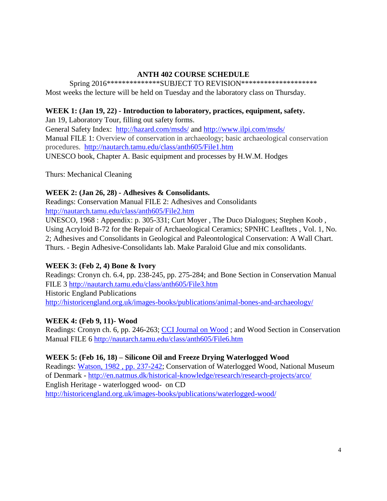# **ANTH 402 COURSE SCHEDULE**

Spring 2016\*\*\*\*\*\*\*\*\*\*\*\*\*\*\*SUBJECT TO REVISION\*\*\*\*\*\*\*\*\*\*\*\*\*\*\*\*\*\*\*\*\*\* Most weeks the lecture will be held on Tuesday and the laboratory class on Thursday.

# **WEEK 1: (Jan 19, 22) - Introduction to laboratory, practices, equipment, safety.**

Jan 19, Laboratory Tour, filling out safety forms. General Safety Index: <http://hazard.com/msds/> and<http://www.ilpi.com/msds/> Manual FILE 1: Overview of conservation in archaeology; basic [archaeological](http://nautarch.tamu.edu/CRL/conservationmanual/File1.htm) conservation [procedures.](http://nautarch.tamu.edu/CRL/conservationmanual/File1.htm) <http://nautarch.tamu.edu/class/anth605/File1.htm> UNESCO book, Chapter A. Basic equipment and processes by H.W.M. Hodges

Thurs: Mechanical Cleaning

# **WEEK 2: (Jan 26, 28) - Adhesives & Consolidants.**

Readings: Conservation Manual FILE 2: Adhesives and Consolidants <http://nautarch.tamu.edu/class/anth605/File2.htm>

UNESCO, 1968 : Appendix: p. 305-331; Curt Moyer , The Duco Dialogues; Stephen Koob , Using Acryloid B-72 for the Repair of Archaeological Ceramics; SPNHC Leafltets , Vol. 1, No. 2; Adhesives and Consolidants in Geological and Paleontological Conservation: A Wall Chart. Thurs. - Begin Adhesive-Consolidants lab. Make Paraloid Glue and mix consolidants.

# **WEEK 3: (Feb 2, 4) Bone & Ivory**

Readings: Cronyn ch. 6.4, pp. 238-245, pp. 275-284; and Bone Section in Conservation Manual FILE 3<http://nautarch.tamu.edu/class/anth605/File3.htm> Historic England Publications <http://historicengland.org.uk/images-books/publications/animal-bones-and-archaeology/>

# **WEEK 4: (Feb 9, 11)- Wood**

Readings: Cronyn ch. 6, pp. 246-263; [CCI Journal on Wood](http://nautarch.tamu.edu/class/anth605/Readings/Week%203/CCI%20Journal%20on%20Wood.pdf) ; and Wood Section in Conservation Manual FILE 6<http://nautarch.tamu.edu/class/anth605/File6.htm>

# **WEEK 5: (Feb 16, 18) – Silicone Oil and Freeze Drying Waterlogged Wood**

Readings: [Watson, 1982 , pp. 237-242;](http://nautarch.tamu.edu/class/anth605/Readings/Week%204/Watson%20freeze%20drying%20PEG.pdf) Conservation of Waterlogged Wood, National Museum of Denmark - <http://en.natmus.dk/historical-knowledge/research/research-projects/arco/> English Heritage - waterlogged wood- on CD <http://historicengland.org.uk/images-books/publications/waterlogged-wood/>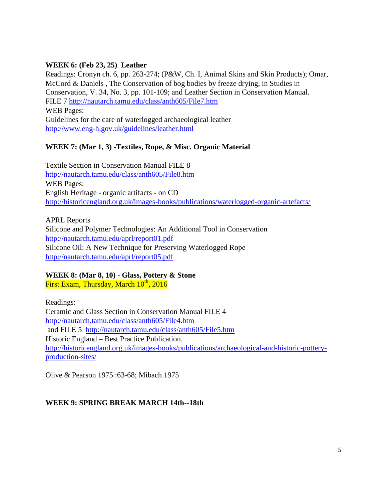## **WEEK 6: (Feb 23, 25) Leather**

Readings: Cronyn ch. 6, pp. 263-274; (P&W, Ch. I, Animal Skins and Skin Products); Omar, McCord & Daniels , The Conservation of bog bodies by freeze drying, in Studies in Conservation, V. 34, No. 3, pp. 101-109; and Leather Section in Conservation Manual. FILE 7<http://nautarch.tamu.edu/class/anth605/File7.htm> WEB Pages: Guidelines for the care of waterlogged archaeological leather <http://www.eng-h.gov.uk/guidelines/leather.html>

# **WEEK 7: (Mar 1, 3) -Textiles, Rope, & Misc. Organic Material**

Textile Section in Conservation Manual FILE 8 <http://nautarch.tamu.edu/class/anth605/File8.htm> WEB Pages: English Heritage - organic artifacts - on CD <http://historicengland.org.uk/images-books/publications/waterlogged-organic-artefacts/>

APRL Reports Silicone and Polymer Technologies: An Additional Tool in Conservation <http://nautarch.tamu.edu/aprl/report01.pdf> Silicone Oil: A New Technique for Preserving Waterlogged Rope <http://nautarch.tamu.edu/aprl/report05.pdf>

## **WEEK 8: (Mar 8, 10) - Glass, Pottery & Stone** First Exam, Thursday, March  $10^{\rm th}$ , 2016

Readings: Ceramic and Glass Section in Conservation Manual FILE 4 <http://nautarch.tamu.edu/class/anth605/File4.htm> and FILE 5 <http://nautarch.tamu.edu/class/anth605/File5.htm> Historic England – Best Practice Publication. [http://historicengland.org.uk/images-books/publications/archaeological-and-historic-pottery](http://historicengland.org.uk/images-books/publications/archaeological-and-historic-pottery-production-sites/)[production-sites/](http://historicengland.org.uk/images-books/publications/archaeological-and-historic-pottery-production-sites/)

Olive & Pearson 1975 :63-68; Mibach 1975

# **WEEK 9: SPRING BREAK MARCH 14th--18th**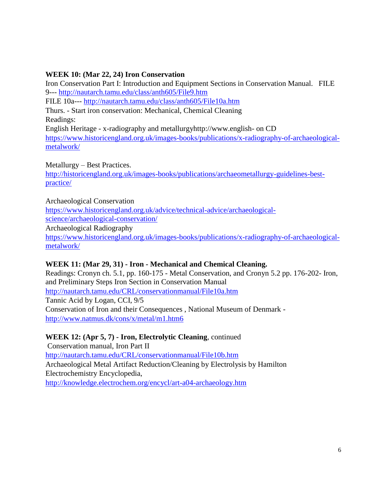# **WEEK 10: (Mar 22, 24) Iron Conservation**

Iron Conservation Part I: Introduction and Equipment Sections in Conservation Manual. FILE 9--- <http://nautarch.tamu.edu/class/anth605/File9.htm> FILE 10a--- <http://nautarch.tamu.edu/class/anth605/File10a.htm> Thurs. - Start iron conservation: Mechanical, Chemical Cleaning Readings: English Heritage - x-radiography and metallurgyhttp://www.english- on CD [https://www.historicengland.org.uk/images-books/publications/x-radiography-of-archaeological](https://www.historicengland.org.uk/images-books/publications/x-radiography-of-archaeological-metalwork/)[metalwork/](https://www.historicengland.org.uk/images-books/publications/x-radiography-of-archaeological-metalwork/)

Metallurgy – Best Practices.

[http://historicengland.org.uk/images-books/publications/archaeometallurgy-guidelines-best](http://historicengland.org.uk/images-books/publications/archaeometallurgy-guidelines-best-practice/)[practice/](http://historicengland.org.uk/images-books/publications/archaeometallurgy-guidelines-best-practice/)

Archaeological Conservation [https://www.historicengland.org.uk/advice/technical-advice/archaeological](https://www.historicengland.org.uk/advice/technical-advice/archaeological-science/archaeological-conservation/)[science/archaeological-conservation/](https://www.historicengland.org.uk/advice/technical-advice/archaeological-science/archaeological-conservation/) Archaeological Radiography [https://www.historicengland.org.uk/images-books/publications/x-radiography-of-archaeological](https://www.historicengland.org.uk/images-books/publications/x-radiography-of-archaeological-metalwork/)[metalwork/](https://www.historicengland.org.uk/images-books/publications/x-radiography-of-archaeological-metalwork/)

# **WEEK 11: (Mar 29, 31) - Iron - Mechanical and Chemical Cleaning.**

Readings: Cronyn ch. 5.1, pp. 160-175 - Metal Conservation, and Cronyn 5.2 pp. 176-202- Iron, and Preliminary Steps Iron Section in Conservation Manual <http://nautarch.tamu.edu/CRL/conservationmanual/File10a.htm> Tannic Acid by Logan, CCI, 9/5 Conservation of Iron and their Consequences , National Museum of Denmark <http://www.natmus.dk/cons/x/metal/m1.htm6>

# **WEEK 12: (Apr 5, 7) - Iron, Electrolytic Cleaning**, continued

Conservation manual, Iron Part II <http://nautarch.tamu.edu/CRL/conservationmanual/File10b.htm> Archaeological Metal Artifact Reduction/Cleaning by Electrolysis by Hamilton Electrochemistry Encyclopedia, <http://knowledge.electrochem.org/encycl/art-a04-archaeology.htm>